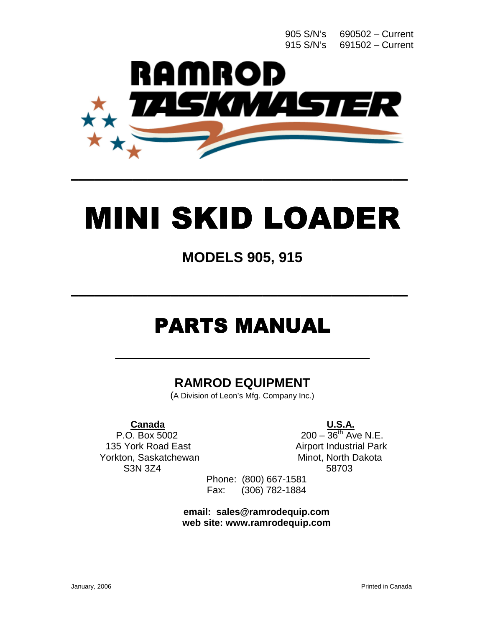905 S/N's 690502 – Current 915 S/N's 691502 – Current



# MINI SKID LOADER

\_\_\_\_\_\_\_\_\_\_\_\_\_\_\_\_\_\_\_\_\_\_\_\_\_\_\_\_\_\_\_\_\_\_\_\_\_\_\_\_\_\_\_\_ \_\_\_\_\_\_\_\_\_\_\_\_\_\_\_\_\_\_\_\_\_\_\_\_\_\_\_\_\_\_\_\_\_\_\_\_\_\_\_\_\_\_\_\_

# **MODELS 905, 915**

\_\_\_\_\_\_\_\_\_\_\_\_\_\_\_\_\_\_\_\_\_\_\_\_\_\_\_\_\_\_\_\_\_\_\_\_\_\_\_\_\_\_\_\_ \_\_\_\_\_\_\_\_\_\_\_\_\_\_\_\_\_\_\_\_\_\_\_\_\_\_\_\_\_\_\_\_\_\_\_\_\_\_\_\_\_\_\_\_

# **PARTS MANUAL**

\_\_\_\_\_\_\_\_\_\_\_\_\_\_\_\_\_\_\_\_\_\_\_\_\_\_\_\_\_\_\_\_\_\_\_\_\_\_

#### **RAMROD EQUIPMENT**

(A Division of Leon's Mfg. Company Inc.)

#### **Canada U.S.A.**

135 York Road East Airport Industrial Park Yorkton, Saskatchewan Minot, North Dakota S3N 3Z4 58703

P.O. Box 5002 200 –  $36^{th}$  Ave N.E.

Phone: (800) 667-1581 Fax: (306) 782-1884

**email: [sales@ramrodequip](mailto:sales@ramrodequip).com web site: [www.ramrodequip.com](http://www.ramrodequip.com/)**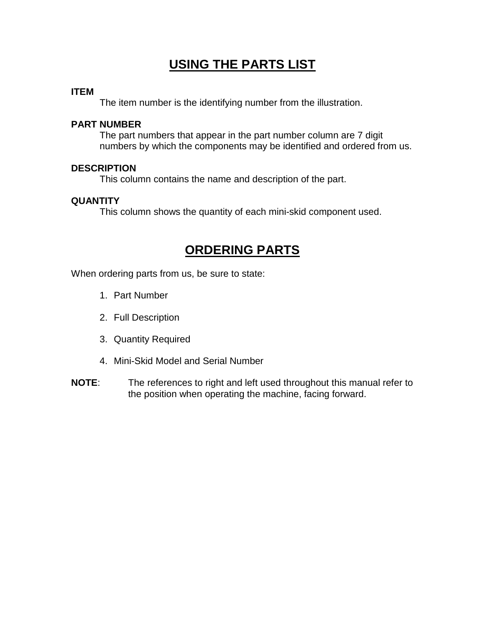#### **USING THE PARTS LIST**

#### **ITEM**

The item number is the identifying number from the illustration.

#### **PART NUMBER**

 The part numbers that appear in the part number column are 7 digit numbers by which the components may be identified and ordered from us.

#### **DESCRIPTION**

This column contains the name and description of the part.

#### **QUANTITY**

This column shows the quantity of each mini-skid component used.

#### **ORDERING PARTS**

When ordering parts from us, be sure to state:

- 1. Part Number
- 2. Full Description
- 3. Quantity Required
- 4. Mini-Skid Model and Serial Number
- **NOTE**: The references to right and left used throughout this manual refer to the position when operating the machine, facing forward.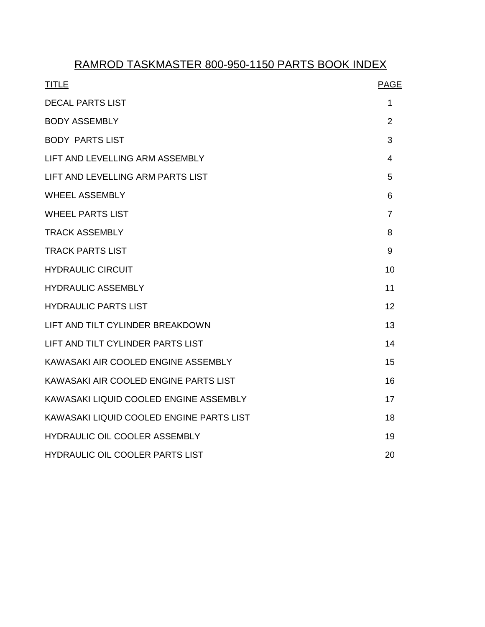#### RAMROD TASKMASTER 800-950-1150 PARTS BOOK INDEX

| <b>TITLE</b>                             | <b>PAGE</b>    |
|------------------------------------------|----------------|
| <b>DECAL PARTS LIST</b>                  | 1              |
| <b>BODY ASSEMBLY</b>                     | $\overline{2}$ |
| <b>BODY PARTS LIST</b>                   | 3              |
| LIFT AND LEVELLING ARM ASSEMBLY          | 4              |
| LIFT AND LEVELLING ARM PARTS LIST        | 5              |
| <b>WHEEL ASSEMBLY</b>                    | 6              |
| <b>WHEEL PARTS LIST</b>                  | $\overline{7}$ |
| <b>TRACK ASSEMBLY</b>                    | 8              |
| <b>TRACK PARTS LIST</b>                  | 9              |
| <b>HYDRAULIC CIRCUIT</b>                 | 10             |
| <b>HYDRAULIC ASSEMBLY</b>                | 11             |
| <b>HYDRAULIC PARTS LIST</b>              | 12             |
| LIFT AND TILT CYLINDER BREAKDOWN         | 13             |
| LIFT AND TILT CYLINDER PARTS LIST        | 14             |
| KAWASAKI AIR COOLED ENGINE ASSEMBLY      | 15             |
| KAWASAKI AIR COOLED ENGINE PARTS LIST    | 16             |
| KAWASAKI LIQUID COOLED ENGINE ASSEMBLY   | 17             |
| KAWASAKI LIQUID COOLED ENGINE PARTS LIST | 18             |
| <b>HYDRAULIC OIL COOLER ASSEMBLY</b>     | 19             |
| HYDRAULIC OIL COOLER PARTS LIST          | 20             |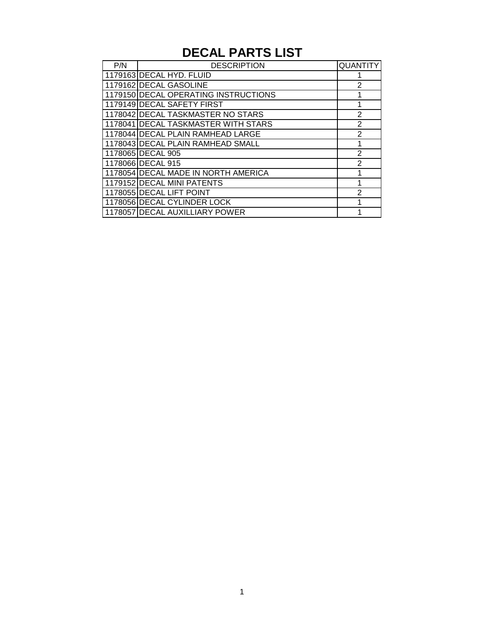# **DECAL PARTS LIST**

| P/N | <b>DESCRIPTION</b>                   | <b>QUANTITY</b> |
|-----|--------------------------------------|-----------------|
|     | 1179163 DECAL HYD. FLUID             |                 |
|     | 1179162 DECAL GASOLINE               | $\mathcal{P}$   |
|     | 1179150 DECAL OPERATING INSTRUCTIONS |                 |
|     | 1179149 DECAL SAFETY FIRST           |                 |
|     | 1178042 DECAL TASKMASTER NO STARS    | 2               |
|     | 1178041 DECAL TASKMASTER WITH STARS  | 2               |
|     | 1178044 DECAL PLAIN RAMHEAD LARGE    | 2               |
|     | 1178043 DECAL PLAIN RAMHEAD SMALL    |                 |
|     | 1178065 DECAL 905                    | $\mathcal{P}$   |
|     | 1178066 DECAL 915                    | $\mathcal{P}$   |
|     | 1178054 DECAL MADE IN NORTH AMERICA  |                 |
|     | 1179152 DECAL MINI PATENTS           |                 |
|     | 1178055 DECAL LIFT POINT             | $\overline{2}$  |
|     | 1178056 DECAL CYLINDER LOCK          |                 |
|     | 1178057 DECAL AUXILLIARY POWER       |                 |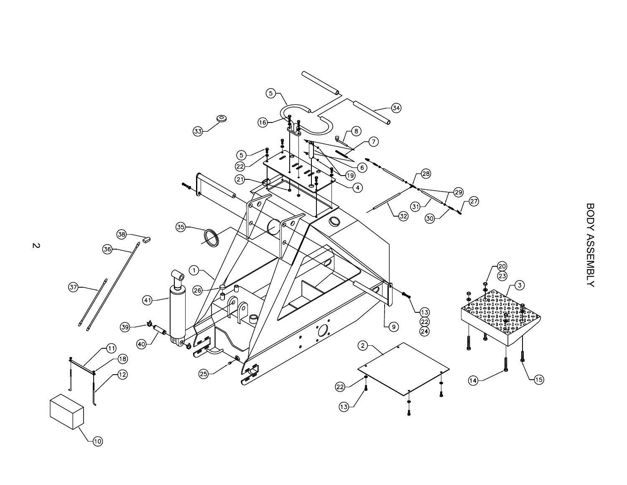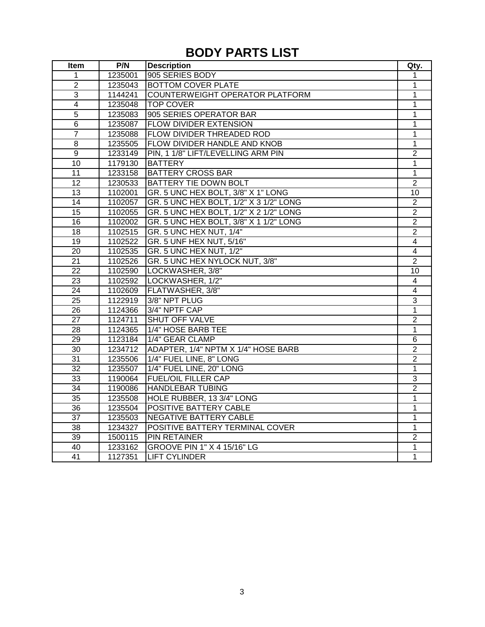#### **BODY PARTS LIST**

| Item            | P/N     | <b>Description</b>                     | Qty.           |
|-----------------|---------|----------------------------------------|----------------|
| 1               | 1235001 | 905 SERIES BODY                        | 1              |
| $\overline{2}$  | 1235043 | <b>BOTTOM COVER PLATE</b>              | 1              |
| 3               | 1144241 | COUNTERWEIGHT OPERATOR PLATFORM        | 1              |
| $\overline{4}$  | 1235048 | <b>TOP COVER</b>                       | 1              |
| $\overline{5}$  | 1235083 | 905 SERIES OPERATOR BAR                | 1              |
| $6\phantom{1}$  | 1235087 | FLOW DIVIDER EXTENSION                 | 1              |
| $\overline{7}$  | 1235088 | FLOW DIVIDER THREADED ROD              | $\mathbf 1$    |
| 8               | 1235505 | FLOW DIVIDER HANDLE AND KNOB           | 1              |
| 9               | 1233149 | PIN, 1 1/8" LIFT/LEVELLING ARM PIN     | $\overline{2}$ |
| 10              | 1179130 | <b>BATTERY</b>                         | $\overline{1}$ |
| $\overline{11}$ | 1233158 | <b>BATTERY CROSS BAR</b>               | 1              |
| 12              | 1230533 | <b>BATTERY TIE DOWN BOLT</b>           | $\overline{2}$ |
| 13              | 1102001 | GR. 5 UNC HEX BOLT, 3/8" X 1" LONG     | 10             |
| 14              | 1102057 | GR. 5 UNC HEX BOLT, 1/2" X 3 1/2" LONG | $\overline{c}$ |
| 15              | 1102055 | GR. 5 UNC HEX BOLT, 1/2" X 2 1/2" LONG | $\overline{2}$ |
| $\overline{16}$ | 1102002 | GR. 5 UNC HEX BOLT, 3/8" X 1 1/2" LONG | $\overline{2}$ |
| 18              | 1102515 | GR. 5 UNC HEX NUT, 1/4"                | $\overline{2}$ |
| 19              | 1102522 | GR. 5 UNF HEX NUT, 5/16"               | $\overline{4}$ |
| 20              | 1102535 | GR. 5 UNC HEX NUT, 1/2"                | 4              |
| 21              | 1102526 | GR. 5 UNC HEX NYLOCK NUT, 3/8"         | $\overline{2}$ |
| $\overline{22}$ | 1102590 | LOCKWASHER, 3/8"                       | 10             |
| $\overline{23}$ | 1102592 | LOCKWASHER, 1/2"                       | 4              |
| $\overline{24}$ | 1102609 | FLATWASHER, 3/8"                       | 4              |
| $\overline{25}$ | 1122919 | 3/8" NPT PLUG                          | 3              |
| 26              | 1124366 | 3/4" NPTF CAP                          | 1              |
| 27              | 1124711 | SHUT OFF VALVE                         | $\overline{2}$ |
| 28              | 1124365 | 1/4" HOSE BARB TEE                     | 1              |
| $\overline{29}$ | 1123184 | 1/4" GEAR CLAMP                        | $\overline{6}$ |
| 30              | 1234712 | ADAPTER, 1/4" NPTM X 1/4" HOSE BARB    | $\overline{2}$ |
| 31              | 1235506 | 1/4" FUEL LINE, 8" LONG                | $\overline{2}$ |
| 32              | 1235507 | 1/4" FUEL LINE, 20" LONG               | 1              |
| 33              | 1190064 | <b>FUEL/OIL FILLER CAP</b>             | 3              |
| 34              | 1190086 | <b>HANDLEBAR TUBING</b>                | $\overline{2}$ |
| 35              | 1235508 | HOLE RUBBER, 13 3/4" LONG              | 1              |
| $\overline{36}$ | 1235504 | <b>POSITIVE BATTERY CABLE</b>          | 1              |
| $\overline{37}$ | 1235503 | <b>NEGATIVE BATTERY CABLE</b>          | 1              |
| $\overline{38}$ | 1234327 | POSITIVE BATTERY TERMINAL COVER        | 1              |
| 39              | 1500115 | <b>PIN RETAINER</b>                    | $\overline{2}$ |
| 40              | 1233162 | GROOVE PIN 1" X 4 15/16" LG            | 1              |
| $\overline{41}$ | 1127351 | <b>LIFT CYLINDER</b>                   | $\overline{1}$ |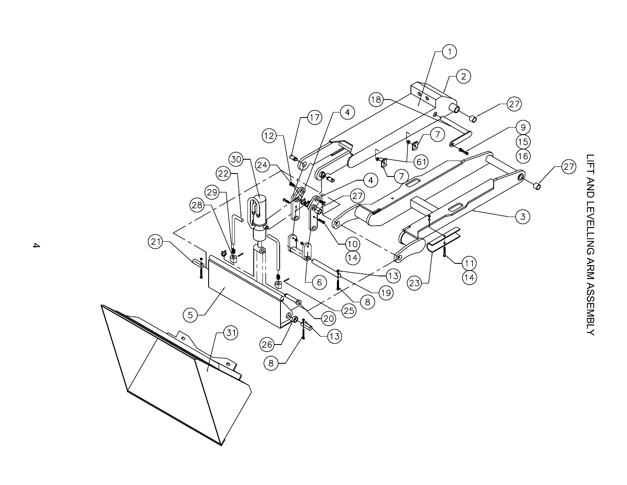

 $\overline{\mathcal{A}}$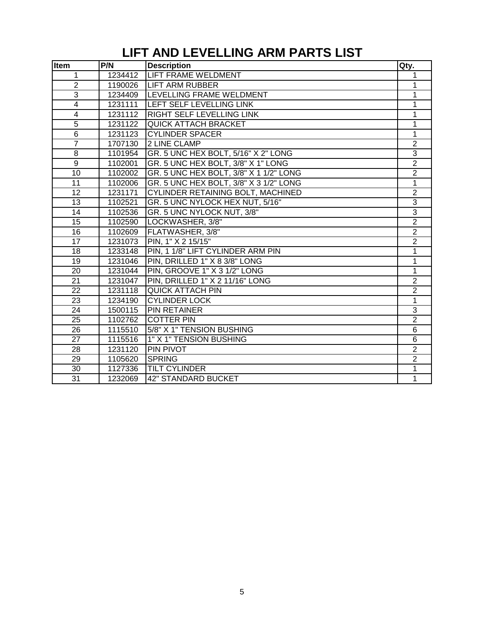# **LIFT AND LEVELLING ARM PARTS LIST**

| Item                    | P/N     | <b>Description</b>                     | Qty.           |
|-------------------------|---------|----------------------------------------|----------------|
| $\mathbf{1}$            | 1234412 | LIFT FRAME WELDMENT                    | 1              |
| $\overline{2}$          | 1190026 | <b>LIFT ARM RUBBER</b>                 | 1              |
| 3                       | 1234409 | LEVELLING FRAME WELDMENT               | 1              |
| $\overline{\mathbf{4}}$ | 1231111 | LEFT SELF LEVELLING LINK               | 1              |
| $\overline{\mathbf{4}}$ | 1231112 | RIGHT SELF LEVELLING LINK              | 1              |
| $\overline{5}$          | 1231122 | <b>QUICK ATTACH BRACKET</b>            | 1              |
| $\overline{6}$          | 1231123 | <b>CYLINDER SPACER</b>                 | $\overline{1}$ |
| $\overline{7}$          | 1707130 | 2 LINE CLAMP                           | $\overline{2}$ |
| $\overline{8}$          | 1101954 | GR. 5 UNC HEX BOLT, 5/16" X 2" LONG    | $\overline{3}$ |
| $\overline{9}$          | 1102001 | GR. 5 UNC HEX BOLT, 3/8" X 1" LONG     | $\overline{2}$ |
| 10                      | 1102002 | GR. 5 UNC HEX BOLT, 3/8" X 1 1/2" LONG | $\overline{2}$ |
| $\overline{11}$         | 1102006 | GR. 5 UNC HEX BOLT, 3/8" X 3 1/2" LONG | 1              |
| 12                      | 1231171 | CYLINDER RETAINING BOLT, MACHINED      | $\overline{2}$ |
| 13                      | 1102521 | GR. 5 UNC NYLOCK HEX NUT, 5/16"        | $\overline{3}$ |
| 14                      | 1102536 | GR. 5 UNC NYLOCK NUT, 3/8"             | $\overline{3}$ |
| 15                      | 1102590 | LOCKWASHER, 3/8"                       | $\overline{2}$ |
| 16                      | 1102609 | FLATWASHER, 3/8"                       | $\overline{2}$ |
| 17                      | 1231073 | PIN, 1" X 2 15/15"                     | $\overline{2}$ |
| 18                      | 1233148 | PIN, 1 1/8" LIFT CYLINDER ARM PIN      | 1              |
| 19                      | 1231046 | PIN, DRILLED 1" X 8 3/8" LONG          | $\overline{1}$ |
| 20                      | 1231044 | PIN, GROOVE 1" X 3 1/2" LONG           | $\mathbf{1}$   |
| 21                      | 1231047 | PIN, DRILLED 1" X 2 11/16" LONG        | $\overline{2}$ |
| 22                      | 1231118 | <b>QUICK ATTACH PIN</b>                | $\overline{2}$ |
| 23                      | 1234190 | <b>CYLINDER LOCK</b>                   | 1              |
| 24                      | 1500115 | <b>PIN RETAINER</b>                    | 3              |
| 25                      | 1102762 | <b>COTTER PIN</b>                      | $\overline{2}$ |
| 26                      | 1115510 | 5/8" X 1" TENSION BUSHING              | $\overline{6}$ |
| 27                      | 1115516 | 1" X 1" TENSION BUSHING                | 6              |
| 28                      | 1231120 | PIN PIVOT                              | $\overline{2}$ |
| 29                      | 1105620 | <b>SPRING</b>                          | $\overline{2}$ |
| 30                      | 1127336 | <b>TILT CYLINDER</b>                   | 1              |
| $\overline{31}$         | 1232069 | <b>42" STANDARD BUCKET</b>             | 1              |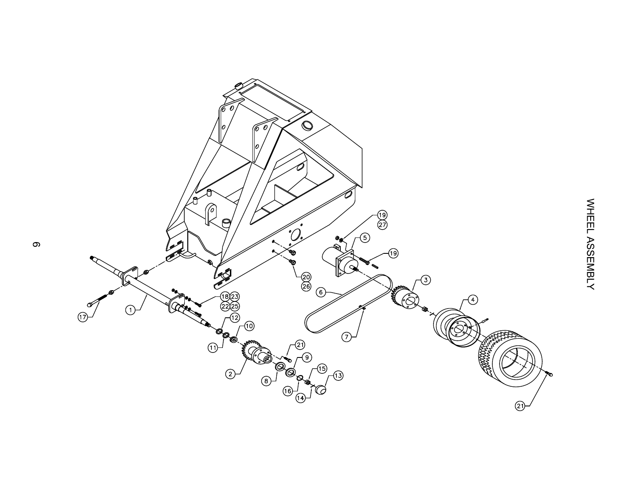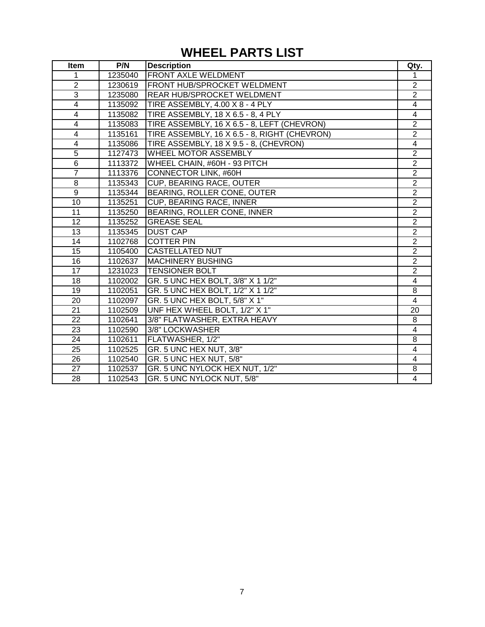# **WHEEL PARTS LIST**

| Item                    | P/N     | <b>Description</b>                           | Qty.                    |
|-------------------------|---------|----------------------------------------------|-------------------------|
| 1                       | 1235040 | <b>FRONT AXLE WELDMENT</b>                   |                         |
| $\overline{2}$          | 1230619 | <b>FRONT HUB/SPROCKET WELDMENT</b>           | $\overline{2}$          |
| 3                       | 1235080 | REAR HUB/SPROCKET WELDMENT                   | $\overline{2}$          |
| $\overline{\mathbf{4}}$ | 1135092 | TIRE ASSEMBLY, 4.00 X 8 - 4 PLY              | $\overline{\mathbf{4}}$ |
| $\overline{4}$          | 1135082 | TIRE ASSEMBLY, 18 X 6.5 - 8, 4 PLY           | $\overline{4}$          |
| 4                       | 1135083 | TIRE ASSEMBLY, 16 X 6.5 - 8, LEFT (CHEVRON)  | $\overline{2}$          |
| $\overline{4}$          | 1135161 | TIRE ASSEMBLY, 16 X 6.5 - 8, RIGHT (CHEVRON) | $\overline{2}$          |
| 4                       | 1135086 | TIRE ASSEMBLY, 18 X 9.5 - 8, (CHEVRON)       | $\overline{4}$          |
| $\overline{5}$          | 1127473 | <b>WHEEL MOTOR ASSEMBLY</b>                  | $\overline{2}$          |
| $\overline{6}$          | 1113372 | WHEEL CHAIN, #60H - 93 PITCH                 | $\overline{2}$          |
| $\overline{7}$          | 1113376 | <b>CONNECTOR LINK, #60H</b>                  | $\overline{2}$          |
| 8                       | 1135343 | <b>CUP, BEARING RACE, OUTER</b>              | $\overline{2}$          |
| 9                       | 1135344 | BEARING, ROLLER CONE, OUTER                  | $\overline{2}$          |
| 10                      | 1135251 | <b>CUP, BEARING RACE, INNER</b>              | $\overline{2}$          |
| $\overline{11}$         | 1135250 | BEARING, ROLLER CONE, INNER                  | $\overline{2}$          |
| 12                      | 1135252 | <b>GREASE SEAL</b>                           | $\overline{2}$          |
| $\overline{13}$         | 1135345 | <b>DUST CAP</b>                              | $\overline{2}$          |
| 14                      | 1102768 | <b>COTTER PIN</b>                            | $\overline{2}$          |
| 15                      | 1105400 | <b>CASTELLATED NUT</b>                       | $\overline{2}$          |
| 16                      | 1102637 | <b>MACHINERY BUSHING</b>                     | $\overline{2}$          |
| 17                      | 1231023 | <b>TENSIONER BOLT</b>                        | $\overline{2}$          |
| 18                      | 1102002 | GR. 5 UNC HEX BOLT, 3/8" X 1 1/2"            | 4                       |
| 19                      | 1102051 | GR. 5 UNC HEX BOLT, 1/2" X 1 1/2"            | 8                       |
| 20                      | 1102097 | GR. 5 UNC HEX BOLT, 5/8" X 1"                | $\overline{4}$          |
| 21                      | 1102509 | UNF HEX WHEEL BOLT, 1/2" X 1"                | 20                      |
| 22                      | 1102641 | 3/8" FLATWASHER, EXTRA HEAVY                 | 8                       |
| 23                      | 1102590 | 3/8" LOCKWASHER                              | 4                       |
| 24                      | 1102611 | FLATWASHER, 1/2"                             | 8                       |
| 25                      | 1102525 | GR. 5 UNC HEX NUT, 3/8"                      | 4                       |
| 26                      | 1102540 | GR. 5 UNC HEX NUT, 5/8"                      | 4                       |
| 27                      | 1102537 | GR. 5 UNC NYLOCK HEX NUT, 1/2"               | 8                       |
| 28                      | 1102543 | GR. 5 UNC NYLOCK NUT, 5/8"                   | 4                       |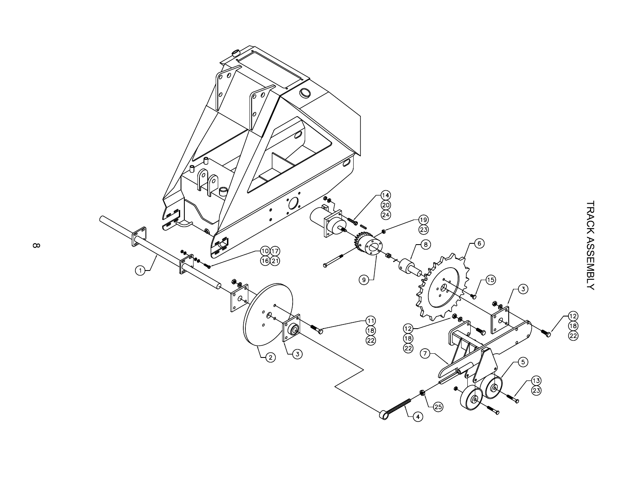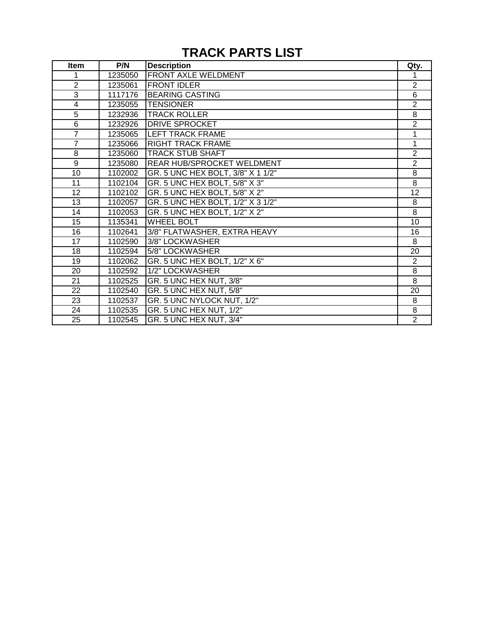## **TRACK PARTS LIST**

| <b>Item</b>     | P/N     | <b>Description</b>                | Qty.           |
|-----------------|---------|-----------------------------------|----------------|
| 1               | 1235050 | FRONT AXLE WELDMENT               |                |
| $\overline{2}$  | 1235061 | <b>FRONT IDLER</b>                | $\overline{2}$ |
| $\overline{3}$  | 1117176 | <b>BEARING CASTING</b>            | 6              |
| 4               | 1235055 | <b>TENSIONER</b>                  | $\overline{2}$ |
| 5               | 1232936 | <b>TRACK ROLLER</b>               | 8              |
| $\,6$           | 1232926 | DRIVE SPROCKET                    | $\overline{2}$ |
| $\overline{7}$  | 1235065 | <b>LEFT TRACK FRAME</b>           | 1              |
| $\overline{7}$  | 1235066 | <b>RIGHT TRACK FRAME</b>          | 1              |
| 8               | 1235060 | <b>TRACK STUB SHAFT</b>           | $\mathbf{2}$   |
| $\overline{9}$  | 1235080 | REAR HUB/SPROCKET WELDMENT        | $\overline{2}$ |
| 10              | 1102002 | GR. 5 UNC HEX BOLT, 3/8" X 1 1/2" | 8              |
| $\overline{11}$ | 1102104 | GR. 5 UNC HEX BOLT, 5/8" X 3"     | $\overline{8}$ |
| 12              | 1102102 | GR. 5 UNC HEX BOLT, 5/8" X 2"     | 12             |
| 13              | 1102057 | GR. 5 UNC HEX BOLT, 1/2" X 3 1/2" | 8              |
| 14              | 1102053 | GR. 5 UNC HEX BOLT, 1/2" X 2"     | 8              |
| 15              | 1135341 | <b>WHEEL BOLT</b>                 | 10             |
| 16              | 1102641 | 3/8" FLATWASHER, EXTRA HEAVY      | 16             |
| 17              | 1102590 | 3/8" LOCKWASHER                   | 8              |
| 18              | 1102594 | 5/8" LOCKWASHER                   | 20             |
| 19              | 1102062 | GR. 5 UNC HEX BOLT, 1/2" X 6"     | $\overline{2}$ |
| 20              | 1102592 | 1/2" LOCKWASHER                   | 8              |
| 21              | 1102525 | GR. 5 UNC HEX NUT, 3/8"           | 8              |
| 22              | 1102540 | GR. 5 UNC HEX NUT, 5/8"           | 20             |
| 23              | 1102537 | GR. 5 UNC NYLOCK NUT, 1/2"        | 8              |
| 24              | 1102535 | GR. 5 UNC HEX NUT, 1/2"           | 8              |
| 25              | 1102545 | GR. 5 UNC HEX NUT, 3/4"           | $\overline{2}$ |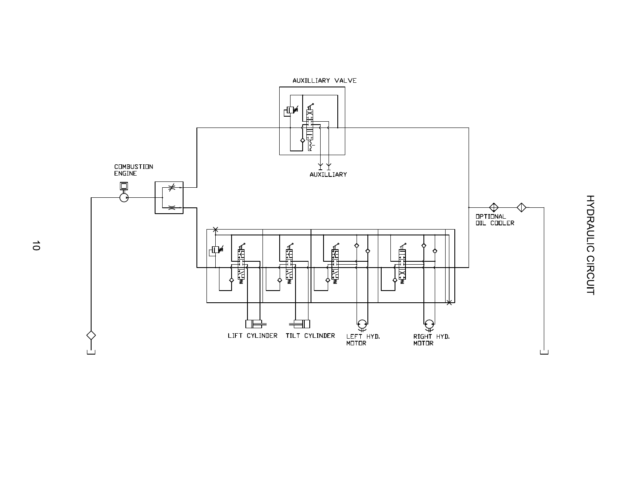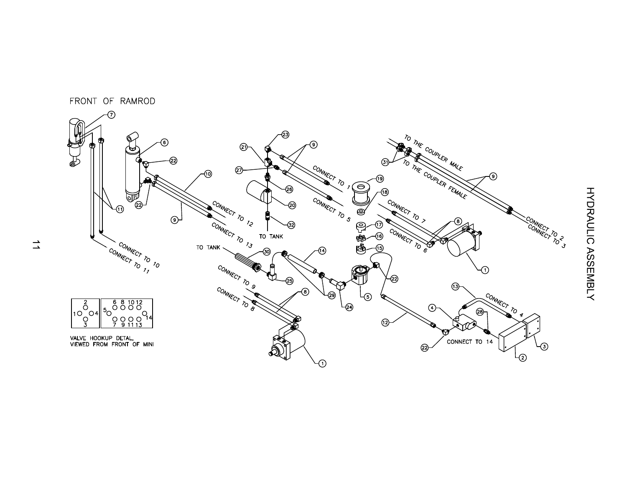

FRONT OF RAMROD

 $\overrightarrow{\phantom{a}}$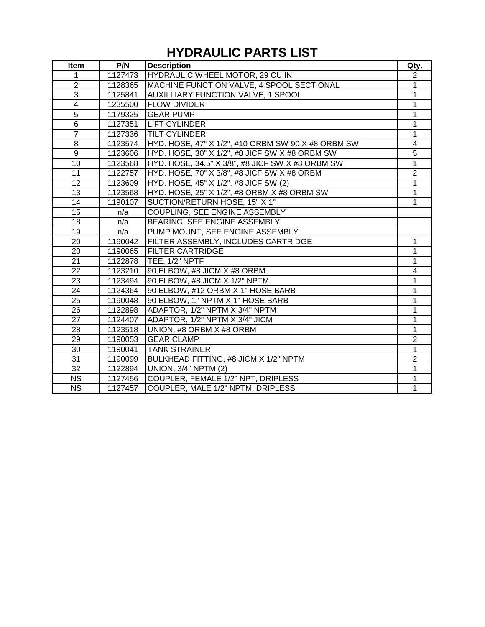# **HYDRAULIC PARTS LIST**

| Item                   | P/N     | <b>Description</b>                                 | Qty.           |
|------------------------|---------|----------------------------------------------------|----------------|
| 1                      | 1127473 | HYDRAULIC WHEEL MOTOR, 29 CU IN                    | $\overline{2}$ |
| $\overline{2}$         | 1128365 | MACHINE FUNCTION VALVE, 4 SPOOL SECTIONAL          | $\mathbf{1}$   |
| 3                      | 1125841 | <b>AUXILLIARY FUNCTION VALVE, 1 SPOOL</b>          | 1              |
| $\overline{4}$         | 1235500 | <b>FLOW DIVIDER</b>                                | $\overline{1}$ |
| 5                      | 1179325 | <b>GEAR PUMP</b>                                   | 1              |
| $\,6$                  | 1127351 | <b>LIFT CYLINDER</b>                               | 1              |
| $\overline{7}$         | 1127336 | <b>TILT CYLINDER</b>                               | 1              |
| $\overline{8}$         | 1123574 | HYD. HOSE, 47" X 1/2", #10 ORBM SW 90 X #8 ORBM SW | $\overline{4}$ |
| $\overline{9}$         | 1123606 | HYD. HOSE, 30" X 1/2", #8 JICF SW X #8 ORBM SW     | $\overline{5}$ |
| 10                     | 1123568 | HYD. HOSE, 34.5" X 3/8", #8 JICF SW X #8 ORBM SW   | $\overline{1}$ |
| 11                     | 1122757 | HYD. HOSE, 70" X 3/8", #8 JICF SW X #8 ORBM        | $\overline{2}$ |
| $\overline{12}$        | 1123609 | HYD. HOSE, 45" X 1/2", #8 JICF SW (2)              | 1              |
| 13                     | 1123568 | HYD. HOSE, 25" X 1/2", #8 ORBM X #8 ORBM SW        | $\mathbf{1}$   |
| 14                     | 1190107 | SUCTION/RETURN HOSE, 15" X 1"                      | 1              |
| 15                     | n/a     | COUPLING, SEE ENGINE ASSEMBLY                      |                |
| 18                     | n/a     | BEARING, SEE ENGINE ASSEMBLY                       |                |
| 19                     | n/a     | PUMP MOUNT, SEE ENGINE ASSEMBLY                    |                |
| 20                     | 1190042 | FILTER ASSEMBLY, INCLUDES CARTRIDGE                | 1              |
| 20                     | 1190065 | <b>FILTER CARTRIDGE</b>                            | 1              |
| 21                     | 1122878 | TEE, 1/2" NPTF                                     | 1              |
| 22                     | 1123210 | 90 ELBOW, #8 JICM X #8 ORBM                        | 4              |
| 23                     | 1123494 | 90 ELBOW, #8 JICM X 1/2" NPTM                      | 1              |
| 24                     | 1124364 | 90 ELBOW, #12 ORBM X 1" HOSE BARB                  | 1              |
| 25                     | 1190048 | 90 ELBOW, 1" NPTM X 1" HOSE BARB                   | $\mathbf{1}$   |
| 26                     | 1122898 | ADAPTOR, 1/2" NPTM X 3/4" NPTM                     | 1              |
| $\overline{27}$        | 1124407 | ADAPTOR, 1/2" NPTM X 3/4" JICM                     | $\overline{1}$ |
| 28                     | 1123518 | UNION, #8 ORBM X #8 ORBM                           | 1              |
| 29                     | 1190053 | <b>GEAR CLAMP</b>                                  | $\overline{2}$ |
| 30                     | 1190041 | <b>TANK STRAINER</b>                               | 1              |
| 31                     | 1190099 | BULKHEAD FITTING, #8 JICM X 1/2" NPTM              | $\overline{2}$ |
| 32                     | 1122894 | <b>UNION, 3/4" NPTM (2)</b>                        | 1              |
| $\overline{\text{NS}}$ | 1127456 | COUPLER, FEMALE 1/2" NPT, DRIPLESS                 | 1              |
| $\overline{\text{NS}}$ | 1127457 | COUPLER, MALE 1/2" NPTM, DRIPLESS                  | $\overline{1}$ |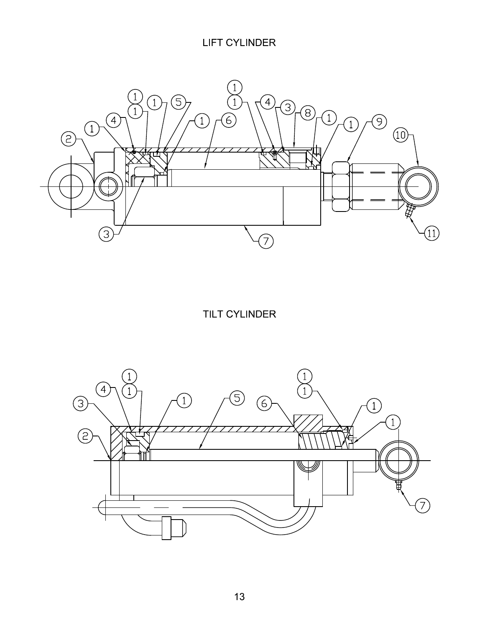**LIFT CYLINDER** 



**TILT CYLINDER** 

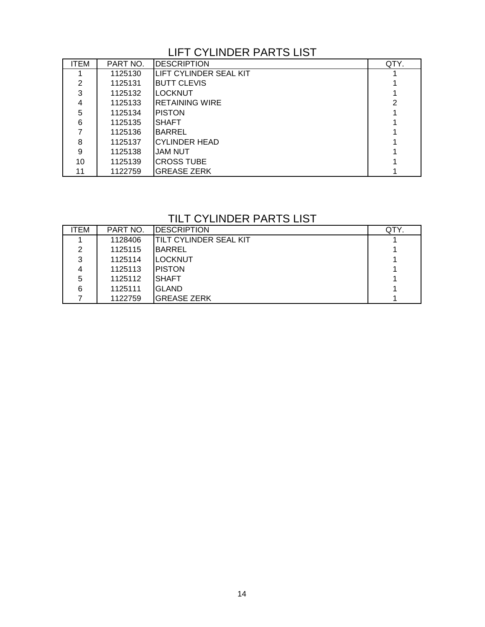#### LIFT CYLINDER PARTS LIST

| <b>ITEM</b> | PART NO. | <b>DESCRIPTION</b>     | QTY. |
|-------------|----------|------------------------|------|
|             | 1125130  | LIFT CYLINDER SEAL KIT |      |
| 2           | 1125131  | <b>BUTT CLEVIS</b>     |      |
| 3           | 1125132  | LOCKNUT                |      |
| 4           | 1125133  | IRETAINING WIRE        | 2    |
| 5           | 1125134  | <b>PISTON</b>          |      |
| 6           | 1125135  | <b>SHAFT</b>           |      |
|             | 1125136  | <b>BARREL</b>          |      |
| 8           | 1125137  | <b>ICYLINDER HEAD</b>  |      |
| 9           | 1125138  | JAM NUT                |      |
| 10          | 1125139  | <b>ICROSS TUBE</b>     |      |
| 11          | 1122759  | <b>IGREASE ZERK</b>    |      |

#### TILT CYLINDER PARTS LIST

| ITEM | PART NO. | <b>IDESCRIPTION</b>            | QTY. |
|------|----------|--------------------------------|------|
|      | 1128406  | <b>ITILT CYLINDER SEAL KIT</b> |      |
| 2    | 1125115  | <b>BARREL</b>                  |      |
| 3    | 1125114  | <b>LOCKNUT</b>                 |      |
| 4    | 1125113  | <b>IPISTON</b>                 |      |
| 5    | 1125112  | <b>SHAFT</b>                   |      |
| 6    | 1125111  | IGLAND                         |      |
|      | 1122759  | IGREASE ZERK                   |      |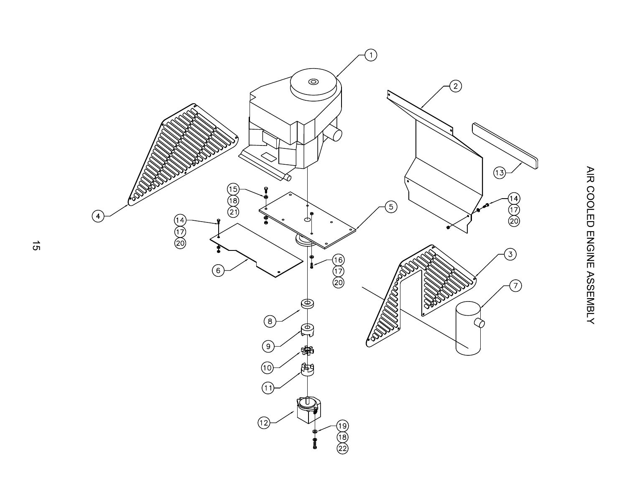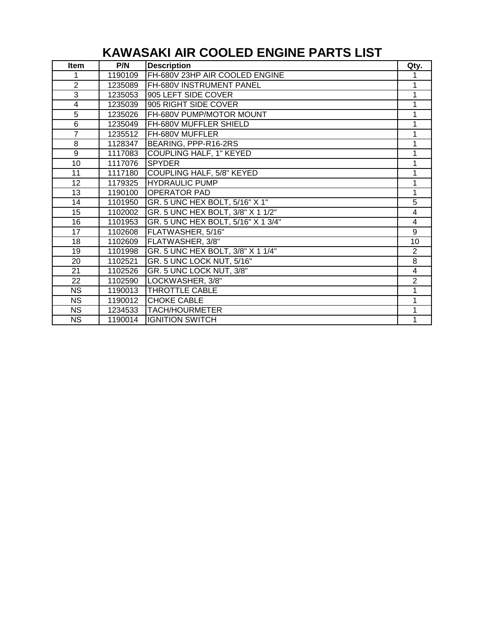# **KAWASAKI AIR COOLED ENGINE PARTS LIST**

| <b>Item</b>     | P/N     | <b>Description</b>                 | Qty.           |
|-----------------|---------|------------------------------------|----------------|
| 1               | 1190109 | FH-680V 23HP AIR COOLED ENGINE     |                |
| $\overline{2}$  | 1235089 | FH-680V INSTRUMENT PANEL           |                |
| 3               | 1235053 | 905 LEFT SIDE COVER                |                |
| 4               | 1235039 | 905 RIGHT SIDE COVER               | 1              |
| 5               | 1235026 | FH-680V PUMP/MOTOR MOUNT           |                |
| $\,6$           | 1235049 | FH-680V MUFFLER SHIELD             | 1              |
| $\overline{7}$  | 1235512 | FH-680V MUFFLER                    | 1              |
| 8               | 1128347 | BEARING, PPP-R16-2RS               | 1              |
| 9               | 1117083 | <b>COUPLING HALF, 1" KEYED</b>     | 1              |
| $\overline{10}$ | 1117076 | <b>SPYDER</b>                      | 1              |
| $\overline{11}$ | 1117180 | <b>COUPLING HALF, 5/8" KEYED</b>   | 1              |
| $\overline{12}$ | 1179325 | <b>HYDRAULIC PUMP</b>              | 1              |
| 13              | 1190100 | <b>OPERATOR PAD</b>                | 1              |
| 14              | 1101950 | GR. 5 UNC HEX BOLT, 5/16" X 1"     | 5              |
| 15              | 1102002 | GR. 5 UNC HEX BOLT, 3/8" X 1 1/2"  | 4              |
| 16              | 1101953 | GR. 5 UNC HEX BOLT, 5/16" X 1 3/4" | $\overline{4}$ |
| 17              | 1102608 | FLATWASHER, 5/16"                  | 9              |
| 18              | 1102609 | FLATWASHER, 3/8"                   | 10             |
| 19              | 1101998 | GR. 5 UNC HEX BOLT, 3/8" X 1 1/4"  | $\overline{2}$ |
| 20              | 1102521 | GR. 5 UNC LOCK NUT, 5/16"          | 8              |
| 21              | 1102526 | GR. 5 UNC LOCK NUT, 3/8"           | 4              |
| 22              | 1102590 | LOCKWASHER, 3/8"                   | $\overline{2}$ |
| <b>NS</b>       | 1190013 | THROTTLE CABLE                     | 1              |
| <b>NS</b>       | 1190012 | <b>CHOKE CABLE</b>                 | 1              |
| <b>NS</b>       | 1234533 | <b>TACH/HOURMETER</b>              | 1              |
| <b>NS</b>       | 1190014 | <b>IGNITION SWITCH</b>             | 1              |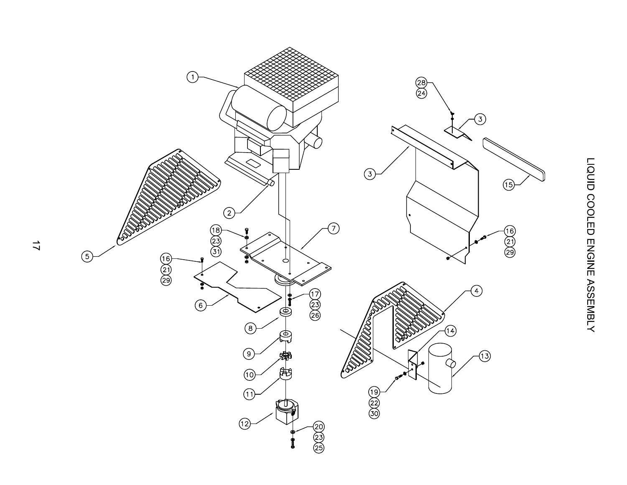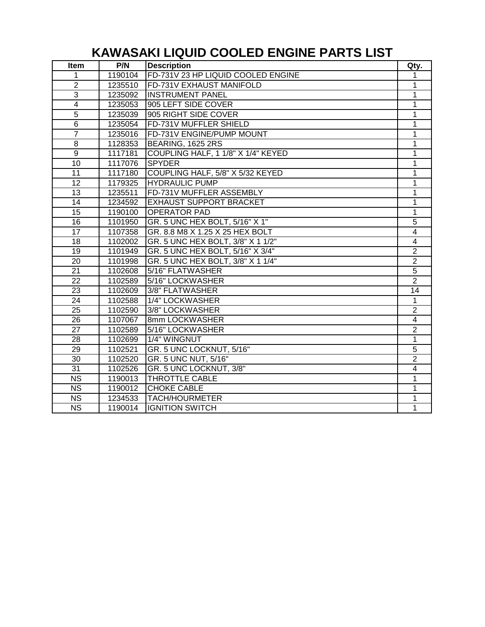# **KAWASAKI LIQUID COOLED ENGINE PARTS LIST**

| Item                      | P/N     | <b>Description</b>                 | Qty.           |
|---------------------------|---------|------------------------------------|----------------|
| 1                         | 1190104 | FD-731V 23 HP LIQUID COOLED ENGINE | 1              |
| $\mathbf{2}$              | 1235510 | FD-731V EXHAUST MANIFOLD           | 1              |
| $\ensuremath{\mathsf{3}}$ | 1235092 | <b>INSTRUMENT PANEL</b>            | 1              |
| 4                         | 1235053 | 905 LEFT SIDE COVER                | 1              |
| 5                         | 1235039 | 905 RIGHT SIDE COVER               | 1              |
| 6                         | 1235054 | FD-731V MUFFLER SHIELD             | 1              |
| $\overline{7}$            | 1235016 | FD-731V ENGINE/PUMP MOUNT          | 1              |
| 8                         | 1128353 | <b>BEARING, 1625 2RS</b>           | 1              |
| 9                         | 1117181 | COUPLING HALF, 1 1/8" X 1/4" KEYED | 1              |
| 10                        | 1117076 | <b>SPYDER</b>                      | 1              |
| $\overline{11}$           | 1117180 | COUPLING HALF, 5/8" X 5/32 KEYED   | 1              |
| $\overline{12}$           | 1179325 | <b>HYDRAULIC PUMP</b>              | 1              |
| 13                        | 1235511 | FD-731V MUFFLER ASSEMBLY           | 1              |
| 14                        | 1234592 | <b>EXHAUST SUPPORT BRACKET</b>     | 1              |
| 15                        | 1190100 | <b>OPERATOR PAD</b>                | 1              |
| 16                        | 1101950 | GR. 5 UNC HEX BOLT, 5/16" X 1"     | $\overline{5}$ |
| 17                        | 1107358 | GR. 8.8 M8 X 1.25 X 25 HEX BOLT    | 4              |
| 18                        | 1102002 | GR. 5 UNC HEX BOLT, 3/8" X 1 1/2"  | 4              |
| 19                        | 1101949 | GR. 5 UNC HEX BOLT, 5/16" X 3/4"   | $\overline{2}$ |
| 20                        | 1101998 | GR. 5 UNC HEX BOLT, 3/8" X 1 1/4"  | $\overline{2}$ |
| 21                        | 1102608 | 5/16" FLATWASHER                   | 5              |
| 22                        | 1102589 | 5/16" LOCKWASHER                   | $\overline{2}$ |
| 23                        | 1102609 | 3/8" FLATWASHER                    | 14             |
| 24                        | 1102588 | 1/4" LOCKWASHER                    | 1              |
| 25                        | 1102590 | 3/8" LOCKWASHER                    | $\overline{2}$ |
| 26                        | 1107067 | 8mm LOCKWASHER                     | 4              |
| 27                        | 1102589 | 5/16" LOCKWASHER                   | $\overline{2}$ |
| 28                        | 1102699 | 1/4" WINGNUT                       | $\mathbf 1$    |
| 29                        | 1102521 | GR. 5 UNC LOCKNUT, 5/16"           | 5              |
| 30                        | 1102520 | GR. 5 UNC NUT, 5/16"               | $\overline{2}$ |
| 31                        | 1102526 | GR. 5 UNC LOCKNUT, 3/8"            | 4              |
| $\overline{\text{NS}}$    | 1190013 | THROTTLE CABLE                     | 1              |
| $\overline{\text{NS}}$    | 1190012 | <b>CHOKE CABLE</b>                 | 1              |
| $\overline{\text{NS}}$    | 1234533 | <b>TACH/HOURMETER</b>              | 1              |
| $\overline{\text{NS}}$    | 1190014 | <b>IGNITION SWITCH</b>             | 1              |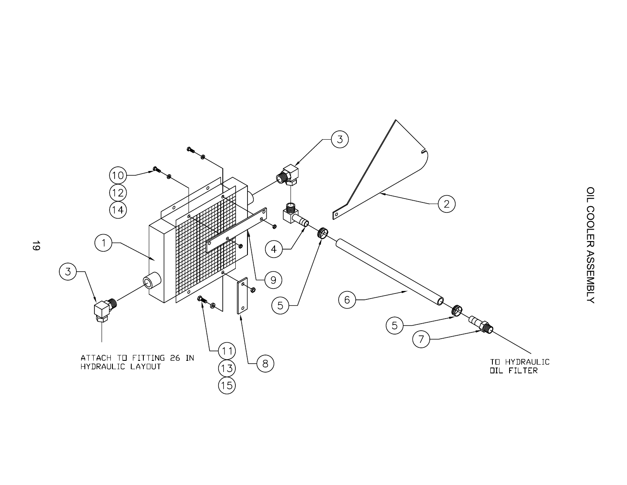